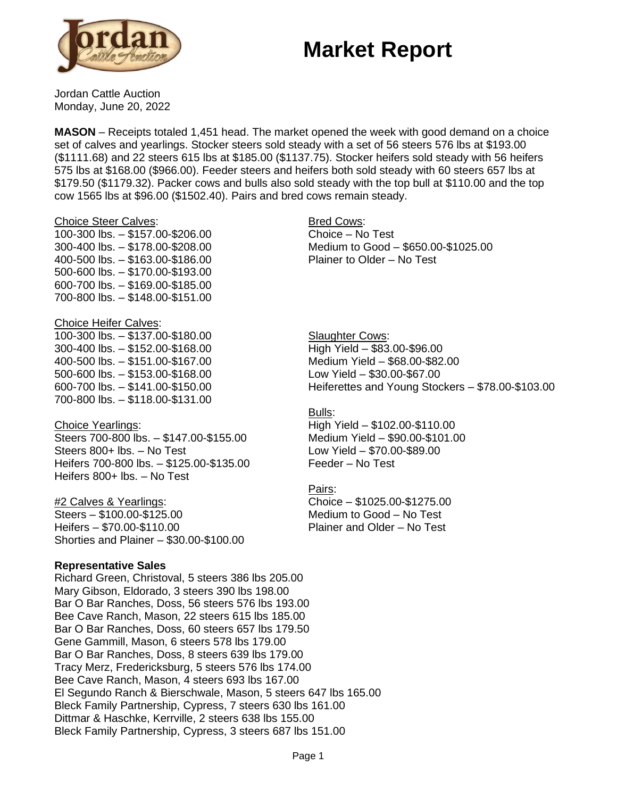# **Market Report**



Jordan Cattle Auction Monday, June 20, 2022

**MASON** – Receipts totaled 1,451 head. The market opened the week with good demand on a choice set of calves and yearlings. Stocker steers sold steady with a set of 56 steers 576 lbs at \$193.00 (\$1111.68) and 22 steers 615 lbs at \$185.00 (\$1137.75). Stocker heifers sold steady with 56 heifers 575 lbs at \$168.00 (\$966.00). Feeder steers and heifers both sold steady with 60 steers 657 lbs at \$179.50 (\$1179.32). Packer cows and bulls also sold steady with the top bull at \$110.00 and the top cow 1565 lbs at \$96.00 (\$1502.40). Pairs and bred cows remain steady.

#### Choice Steer Calves:

100-300 lbs. – \$157.00-\$206.00 300-400 lbs. – \$178.00-\$208.00 400-500 lbs. – \$163.00-\$186.00 500-600 lbs. – \$170.00-\$193.00 600-700 lbs. – \$169.00-\$185.00 700-800 lbs. – \$148.00-\$151.00

### Choice Heifer Calves:

100-300 lbs. – \$137.00-\$180.00 300-400 lbs. – \$152.00-\$168.00 400-500 lbs. – \$151.00-\$167.00 500-600 lbs. – \$153.00-\$168.00 600-700 lbs. – \$141.00-\$150.00 700-800 lbs. – \$118.00-\$131.00

### Choice Yearlings:

Steers 700-800 lbs. – \$147.00-\$155.00 Steers 800+ lbs. – No Test Heifers 700-800 lbs. – \$125.00-\$135.00 Heifers 800+ lbs. – No Test

### #2 Calves & Yearlings:

Steers – \$100.00-\$125.00 Heifers – \$70.00-\$110.00 Shorties and Plainer – \$30.00-\$100.00

### **Representative Sales**

Richard Green, Christoval, 5 steers 386 lbs 205.00 Mary Gibson, Eldorado, 3 steers 390 lbs 198.00 Bar O Bar Ranches, Doss, 56 steers 576 lbs 193.00 Bee Cave Ranch, Mason, 22 steers 615 lbs 185.00 Bar O Bar Ranches, Doss, 60 steers 657 lbs 179.50 Gene Gammill, Mason, 6 steers 578 lbs 179.00 Bar O Bar Ranches, Doss, 8 steers 639 lbs 179.00 Tracy Merz, Fredericksburg, 5 steers 576 lbs 174.00 Bee Cave Ranch, Mason, 4 steers 693 lbs 167.00 El Segundo Ranch & Bierschwale, Mason, 5 steers 647 lbs 165.00 Bleck Family Partnership, Cypress, 7 steers 630 lbs 161.00 Dittmar & Haschke, Kerrville, 2 steers 638 lbs 155.00 Bleck Family Partnership, Cypress, 3 steers 687 lbs 151.00

Bred Cows: Choice – No Test Medium to Good – \$650.00-\$1025.00 Plainer to Older – No Test

**Slaughter Cows:** High Yield – \$83.00-\$96.00 Medium Yield – \$68.00-\$82.00 Low Yield – \$30.00-\$67.00 Heiferettes and Young Stockers – \$78.00-\$103.00

### Bulls:

High Yield – \$102.00-\$110.00 Medium Yield – \$90.00-\$101.00 Low Yield – \$70.00-\$89.00 Feeder – No Test

#### Pairs:

Choice – \$1025.00-\$1275.00 Medium to Good – No Test Plainer and Older – No Test